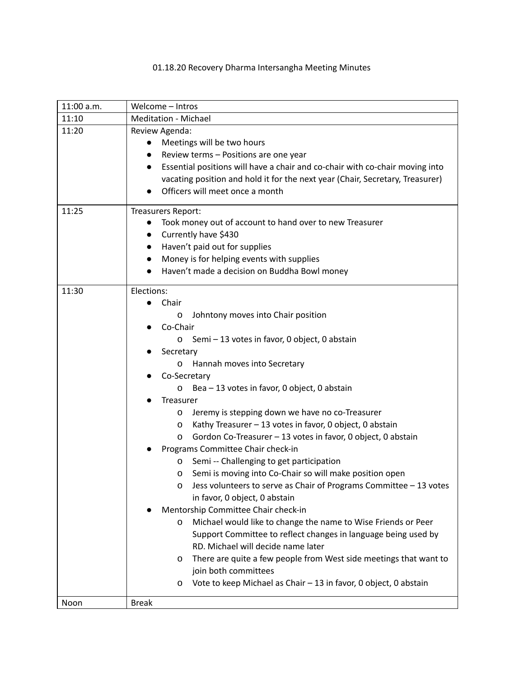## 01.18.20 Recovery Dharma Intersangha Meeting Minutes

| 11:00 a.m. | Welcome - Intros                                                                          |  |  |
|------------|-------------------------------------------------------------------------------------------|--|--|
| 11:10      | <b>Meditation - Michael</b>                                                               |  |  |
| 11:20      | Review Agenda:                                                                            |  |  |
|            | Meetings will be two hours                                                                |  |  |
|            | Review terms - Positions are one year<br>$\bullet$                                        |  |  |
|            | Essential positions will have a chair and co-chair with co-chair moving into<br>$\bullet$ |  |  |
|            | vacating position and hold it for the next year (Chair, Secretary, Treasurer)             |  |  |
|            | Officers will meet once a month                                                           |  |  |
| 11:25      | Treasurers Report:                                                                        |  |  |
|            | Took money out of account to hand over to new Treasurer<br>$\bullet$                      |  |  |
|            | Currently have \$430                                                                      |  |  |
|            | Haven't paid out for supplies<br>$\bullet$                                                |  |  |
|            | Money is for helping events with supplies<br>$\bullet$                                    |  |  |
|            | Haven't made a decision on Buddha Bowl money                                              |  |  |
| 11:30      | Elections:                                                                                |  |  |
|            | Chair<br>$\bullet$                                                                        |  |  |
|            | Johntony moves into Chair position<br>0                                                   |  |  |
|            | Co-Chair                                                                                  |  |  |
|            | Semi - 13 votes in favor, 0 object, 0 abstain<br>0                                        |  |  |
|            | Secretary                                                                                 |  |  |
|            | Hannah moves into Secretary<br>0                                                          |  |  |
|            | Co-Secretary                                                                              |  |  |
|            | Bea - 13 votes in favor, 0 object, 0 abstain<br>0                                         |  |  |
|            | <b>Treasurer</b>                                                                          |  |  |
|            | Jeremy is stepping down we have no co-Treasurer<br>0                                      |  |  |
|            | Kathy Treasurer - 13 votes in favor, 0 object, 0 abstain<br>0                             |  |  |
|            | Gordon Co-Treasurer - 13 votes in favor, 0 object, 0 abstain<br>0                         |  |  |
|            | Programs Committee Chair check-in                                                         |  |  |
|            | Semi -- Challenging to get participation<br>0                                             |  |  |
|            | Semi is moving into Co-Chair so will make position open<br>0                              |  |  |
|            | Jess volunteers to serve as Chair of Programs Committee - 13 votes<br>0                   |  |  |
|            | in favor, 0 object, 0 abstain                                                             |  |  |
|            | Mentorship Committee Chair check-in                                                       |  |  |
|            | Michael would like to change the name to Wise Friends or Peer<br>0                        |  |  |
|            | Support Committee to reflect changes in language being used by                            |  |  |
|            | RD. Michael will decide name later                                                        |  |  |
|            | There are quite a few people from West side meetings that want to<br>0                    |  |  |
|            | join both committees                                                                      |  |  |
|            | Vote to keep Michael as Chair - 13 in favor, 0 object, 0 abstain<br>0                     |  |  |
| Noon       | <b>Break</b>                                                                              |  |  |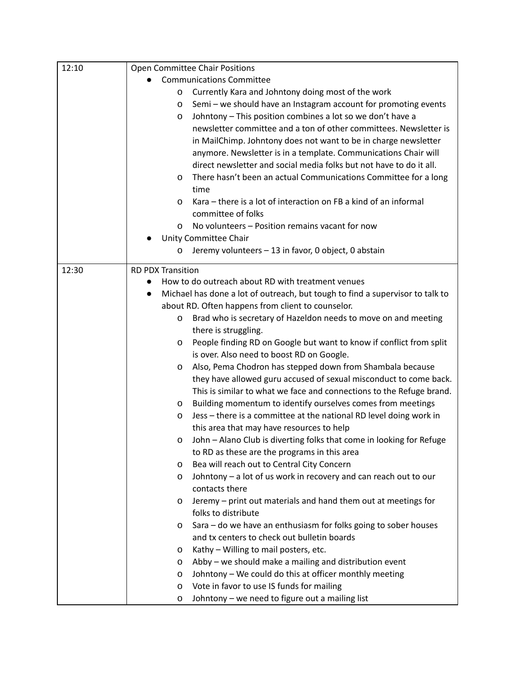| 12:10 | Open Committee Chair Positions  |                                                                               |  |
|-------|---------------------------------|-------------------------------------------------------------------------------|--|
|       | <b>Communications Committee</b> |                                                                               |  |
|       | O                               | Currently Kara and Johntony doing most of the work                            |  |
|       | 0                               | Semi - we should have an Instagram account for promoting events               |  |
|       | 0                               | Johntony - This position combines a lot so we don't have a                    |  |
|       |                                 | newsletter committee and a ton of other committees. Newsletter is             |  |
|       |                                 | in MailChimp. Johntony does not want to be in charge newsletter               |  |
|       |                                 | anymore. Newsletter is in a template. Communications Chair will               |  |
|       |                                 | direct newsletter and social media folks but not have to do it all.           |  |
|       | 0                               | There hasn't been an actual Communications Committee for a long               |  |
|       |                                 | time                                                                          |  |
|       | 0                               | Kara – there is a lot of interaction on FB a kind of an informal              |  |
|       |                                 | committee of folks                                                            |  |
|       | 0                               | No volunteers - Position remains vacant for now                               |  |
|       |                                 | Unity Committee Chair                                                         |  |
|       | 0                               | Jeremy volunteers - 13 in favor, 0 object, 0 abstain                          |  |
| 12:30 | <b>RD PDX Transition</b>        |                                                                               |  |
|       |                                 | How to do outreach about RD with treatment venues                             |  |
|       | $\bullet$                       | Michael has done a lot of outreach, but tough to find a supervisor to talk to |  |
|       |                                 | about RD. Often happens from client to counselor.                             |  |
|       | 0                               | Brad who is secretary of Hazeldon needs to move on and meeting                |  |
|       |                                 | there is struggling.                                                          |  |
|       | O                               | People finding RD on Google but want to know if conflict from split           |  |
|       |                                 | is over. Also need to boost RD on Google.                                     |  |
|       | 0                               | Also, Pema Chodron has stepped down from Shambala because                     |  |
|       |                                 | they have allowed guru accused of sexual misconduct to come back.             |  |
|       |                                 | This is similar to what we face and connections to the Refuge brand.          |  |
|       | 0                               | Building momentum to identify ourselves comes from meetings                   |  |
|       | 0                               | Jess - there is a committee at the national RD level doing work in            |  |
|       |                                 | this area that may have resources to help                                     |  |
|       | 0                               | John - Alano Club is diverting folks that come in looking for Refuge          |  |
|       |                                 | to RD as these are the programs in this area                                  |  |
|       | 0                               | Bea will reach out to Central City Concern                                    |  |
|       | 0                               | Johntony - a lot of us work in recovery and can reach out to our              |  |
|       |                                 | contacts there                                                                |  |
|       | 0                               | Jeremy - print out materials and hand them out at meetings for                |  |
|       |                                 | folks to distribute                                                           |  |
|       | 0                               | Sara - do we have an enthusiasm for folks going to sober houses               |  |
|       |                                 | and tx centers to check out bulletin boards                                   |  |
|       | 0                               | Kathy - Willing to mail posters, etc.                                         |  |
|       | 0                               | Abby - we should make a mailing and distribution event                        |  |
|       | 0                               | Johntony - We could do this at officer monthly meeting                        |  |
|       | 0                               | Vote in favor to use IS funds for mailing                                     |  |
|       | 0                               | Johntony - we need to figure out a mailing list                               |  |